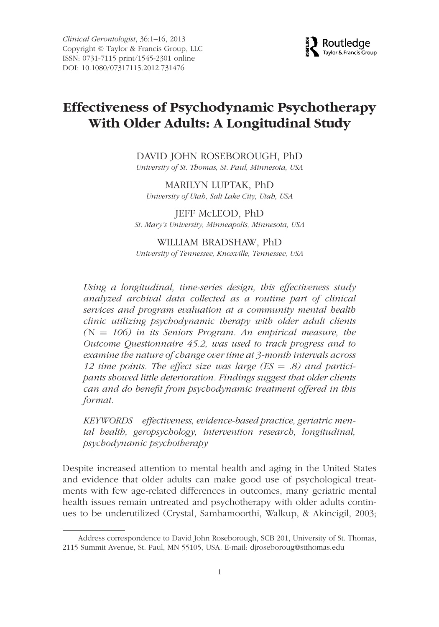*Clinical Gerontologist*, 36:1–16, 2013 Copyright © Taylor & Francis Group, LLC ISSN: 0731-7115 print/1545-2301 online DOI: 10.1080/07317115.2012.731476



# **Effectiveness of Psychodynamic Psychotherapy With Older Adults: A Longitudinal Study**

DAVID JOHN ROSEBOROUGH, PhD *University of St. Thomas, St. Paul, Minnesota, USA*

MARILYN LUPTAK, PhD *University of Utah, Salt Lake City, Utah, USA*

JEFF McLEOD, PhD *St. Mary's University, Minneapolis, Minnesota, USA*

WILLIAM BRADSHAW, PhD *University of Tennessee, Knoxville, Tennessee, USA*

*Using a longitudinal, time-series design, this effectiveness study analyzed archival data collected as a routine part of clinical services and program evaluation at a community mental health clinic utilizing psychodynamic therapy with older adult clients (*N = *106) in its Seniors Program. An empirical measure, the Outcome Questionnaire 45.2, was used to track progress and to examine the nature of change over time at 3-month intervals across 12 time points. The effect size was large (ES* = *.8) and participants showed little deterioration. Findings suggest that older clients can and do benefit from psychodynamic treatment offered in this format.*

*KEYWORDS effectiveness, evidence-based practice, geriatric mental health, geropsychology, intervention research, longitudinal, psychodynamic psychotherapy*

Despite increased attention to mental health and aging in the United States and evidence that older adults can make good use of psychological treatments with few age-related differences in outcomes, many geriatric mental health issues remain untreated and psychotherapy with older adults continues to be underutilized (Crystal, Sambamoorthi, Walkup, & Akincigil, 2003;

Address correspondence to David John Roseborough, SCB 201, University of St. Thomas, 2115 Summit Avenue, St. Paul, MN 55105, USA. E-mail: djroseboroug@stthomas.edu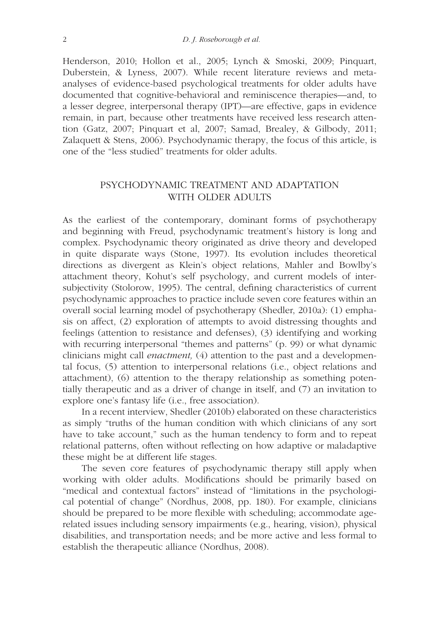Henderson, 2010; Hollon et al., 2005; Lynch & Smoski, 2009; Pinquart, Duberstein, & Lyness, 2007). While recent literature reviews and metaanalyses of evidence-based psychological treatments for older adults have documented that cognitive-behavioral and reminiscence therapies—and, to a lesser degree, interpersonal therapy (IPT)—are effective, gaps in evidence remain, in part, because other treatments have received less research attention (Gatz, 2007; Pinquart et al, 2007; Samad, Brealey, & Gilbody, 2011; Zalaquett & Stens, 2006). Psychodynamic therapy, the focus of this article, is one of the "less studied" treatments for older adults.

# PSYCHODYNAMIC TREATMENT AND ADAPTATION WITH OLDER ADULTS

As the earliest of the contemporary, dominant forms of psychotherapy and beginning with Freud, psychodynamic treatment's history is long and complex. Psychodynamic theory originated as drive theory and developed in quite disparate ways (Stone, 1997). Its evolution includes theoretical directions as divergent as Klein's object relations, Mahler and Bowlby's attachment theory, Kohut's self psychology, and current models of intersubjectivity (Stolorow, 1995). The central, defining characteristics of current psychodynamic approaches to practice include seven core features within an overall social learning model of psychotherapy (Shedler, 2010a): (1) emphasis on affect, (2) exploration of attempts to avoid distressing thoughts and feelings (attention to resistance and defenses), (3) identifying and working with recurring interpersonal "themes and patterns" (p. 99) or what dynamic clinicians might call *enactment,* (4) attention to the past and a developmental focus, (5) attention to interpersonal relations (i.e., object relations and attachment), (6) attention to the therapy relationship as something potentially therapeutic and as a driver of change in itself, and (7) an invitation to explore one's fantasy life (i.e., free association).

In a recent interview, Shedler (2010b) elaborated on these characteristics as simply "truths of the human condition with which clinicians of any sort have to take account," such as the human tendency to form and to repeat relational patterns, often without reflecting on how adaptive or maladaptive these might be at different life stages.

The seven core features of psychodynamic therapy still apply when working with older adults. Modifications should be primarily based on "medical and contextual factors" instead of "limitations in the psychological potential of change" (Nordhus, 2008, pp. 180). For example, clinicians should be prepared to be more flexible with scheduling; accommodate agerelated issues including sensory impairments (e.g., hearing, vision), physical disabilities, and transportation needs; and be more active and less formal to establish the therapeutic alliance (Nordhus, 2008).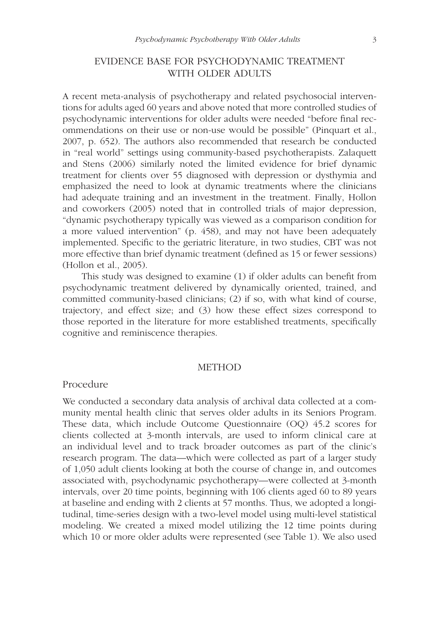# EVIDENCE BASE FOR PSYCHODYNAMIC TREATMENT WITH OLDER ADULTS

A recent meta-analysis of psychotherapy and related psychosocial interventions for adults aged 60 years and above noted that more controlled studies of psychodynamic interventions for older adults were needed "before final recommendations on their use or non-use would be possible" (Pinquart et al., 2007, p. 652). The authors also recommended that research be conducted in "real world" settings using community-based psychotherapists. Zalaquett and Stens (2006) similarly noted the limited evidence for brief dynamic treatment for clients over 55 diagnosed with depression or dysthymia and emphasized the need to look at dynamic treatments where the clinicians had adequate training and an investment in the treatment. Finally, Hollon and coworkers (2005) noted that in controlled trials of major depression, "dynamic psychotherapy typically was viewed as a comparison condition for a more valued intervention" (p. 458), and may not have been adequately implemented. Specific to the geriatric literature, in two studies, CBT was not more effective than brief dynamic treatment (defined as 15 or fewer sessions) (Hollon et al., 2005).

This study was designed to examine (1) if older adults can benefit from psychodynamic treatment delivered by dynamically oriented, trained, and committed community-based clinicians; (2) if so, with what kind of course, trajectory, and effect size; and (3) how these effect sizes correspond to those reported in the literature for more established treatments, specifically cognitive and reminiscence therapies.

## METHOD

## Procedure

We conducted a secondary data analysis of archival data collected at a community mental health clinic that serves older adults in its Seniors Program. These data, which include Outcome Questionnaire (OQ) 45.2 scores for clients collected at 3-month intervals, are used to inform clinical care at an individual level and to track broader outcomes as part of the clinic's research program. The data—which were collected as part of a larger study of 1,050 adult clients looking at both the course of change in, and outcomes associated with, psychodynamic psychotherapy—were collected at 3-month intervals, over 20 time points, beginning with 106 clients aged 60 to 89 years at baseline and ending with 2 clients at 57 months. Thus, we adopted a longitudinal, time-series design with a two-level model using multi-level statistical modeling. We created a mixed model utilizing the 12 time points during which 10 or more older adults were represented (see Table 1). We also used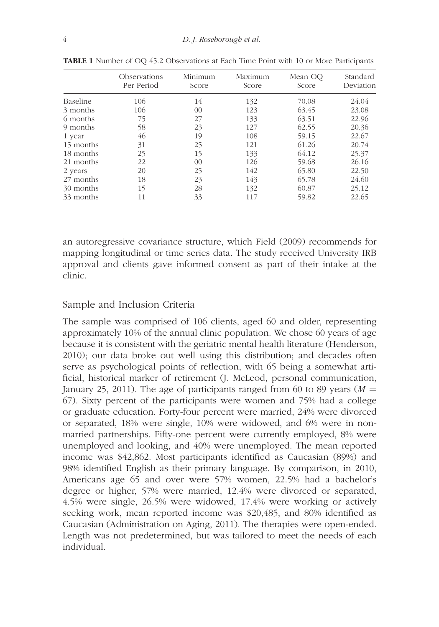|                 | <b>Observations</b><br>Per Period | Minimum<br>Score | Maximum<br>Score | Mean OO<br>Score | Standard<br>Deviation |
|-----------------|-----------------------------------|------------------|------------------|------------------|-----------------------|
| <b>Baseline</b> | 106                               | 14               | 132              | 70.08            | 24.04                 |
| 3 months        | 106                               | $00\,$           | 123              | 63.45            | 23.08                 |
| 6 months        | 75                                | 27               | 133              | 63.51            | 22.96                 |
| 9 months        | 58                                | 23               | 127              | 62.55            | 20.36                 |
| 1 year          | 46                                | 19               | 108              | 59.15            | 22.67                 |
| 15 months       | 31                                | 25               | 121              | 61.26            | 20.74                 |
| 18 months       | 25                                | 15               | 133              | 64.12            | 25.37                 |
| 21 months       | 22                                | $00\,$           | 126              | 59.68            | 26.16                 |
| 2 years         | 20                                | 25               | 142              | 65.80            | 22.50                 |
| 27 months       | 18                                | 23               | 143              | 65.78            | 24.60                 |
| 30 months       | 15                                | 28               | 132              | 60.87            | 25.12                 |
| 33 months       | 11                                | 33               | 117              | 59.82            | 22.65                 |

**TABLE 1** Number of OQ 45.2 Observations at Each Time Point with 10 or More Participants

an autoregressive covariance structure, which Field (2009) recommends for mapping longitudinal or time series data. The study received University IRB approval and clients gave informed consent as part of their intake at the clinic.

## Sample and Inclusion Criteria

The sample was comprised of 106 clients, aged 60 and older, representing approximately 10% of the annual clinic population. We chose 60 years of age because it is consistent with the geriatric mental health literature (Henderson, 2010); our data broke out well using this distribution; and decades often serve as psychological points of reflection, with 65 being a somewhat artificial, historical marker of retirement (J. McLeod, personal communication, January 25, 2011). The age of participants ranged from 60 to 89 years ( $M =$ 67). Sixty percent of the participants were women and 75% had a college or graduate education. Forty-four percent were married, 24% were divorced or separated, 18% were single, 10% were widowed, and 6% were in nonmarried partnerships. Fifty-one percent were currently employed, 8% were unemployed and looking, and 40% were unemployed. The mean reported income was \$42,862. Most participants identified as Caucasian (89%) and 98% identified English as their primary language. By comparison, in 2010, Americans age 65 and over were 57% women, 22.5% had a bachelor's degree or higher, 57% were married, 12.4% were divorced or separated, 4.5% were single, 26.5% were widowed, 17.4% were working or actively seeking work, mean reported income was \$20,485, and 80% identified as Caucasian (Administration on Aging, 2011). The therapies were open-ended. Length was not predetermined, but was tailored to meet the needs of each individual.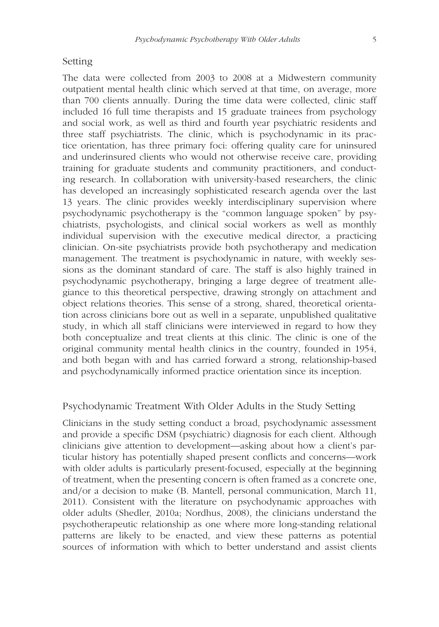## Setting

The data were collected from 2003 to 2008 at a Midwestern community outpatient mental health clinic which served at that time, on average, more than 700 clients annually. During the time data were collected, clinic staff included 16 full time therapists and 15 graduate trainees from psychology and social work, as well as third and fourth year psychiatric residents and three staff psychiatrists. The clinic, which is psychodynamic in its practice orientation, has three primary foci: offering quality care for uninsured and underinsured clients who would not otherwise receive care, providing training for graduate students and community practitioners, and conducting research. In collaboration with university-based researchers, the clinic has developed an increasingly sophisticated research agenda over the last 13 years. The clinic provides weekly interdisciplinary supervision where psychodynamic psychotherapy is the "common language spoken" by psychiatrists, psychologists, and clinical social workers as well as monthly individual supervision with the executive medical director, a practicing clinician. On-site psychiatrists provide both psychotherapy and medication management. The treatment is psychodynamic in nature, with weekly sessions as the dominant standard of care. The staff is also highly trained in psychodynamic psychotherapy, bringing a large degree of treatment allegiance to this theoretical perspective, drawing strongly on attachment and object relations theories. This sense of a strong, shared, theoretical orientation across clinicians bore out as well in a separate, unpublished qualitative study, in which all staff clinicians were interviewed in regard to how they both conceptualize and treat clients at this clinic. The clinic is one of the original community mental health clinics in the country, founded in 1954, and both began with and has carried forward a strong, relationship-based and psychodynamically informed practice orientation since its inception.

## Psychodynamic Treatment With Older Adults in the Study Setting

Clinicians in the study setting conduct a broad, psychodynamic assessment and provide a specific DSM (psychiatric) diagnosis for each client. Although clinicians give attention to development—asking about how a client's particular history has potentially shaped present conflicts and concerns—work with older adults is particularly present-focused, especially at the beginning of treatment, when the presenting concern is often framed as a concrete one, and/or a decision to make (B. Mantell, personal communication, March 11, 2011). Consistent with the literature on psychodynamic approaches with older adults (Shedler, 2010a; Nordhus, 2008), the clinicians understand the psychotherapeutic relationship as one where more long-standing relational patterns are likely to be enacted, and view these patterns as potential sources of information with which to better understand and assist clients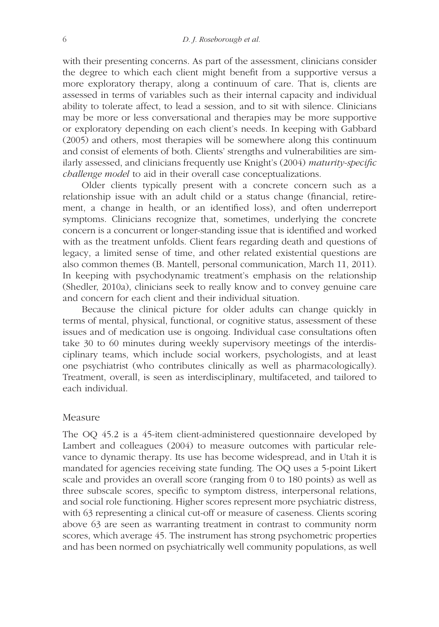with their presenting concerns. As part of the assessment, clinicians consider the degree to which each client might benefit from a supportive versus a more exploratory therapy, along a continuum of care. That is, clients are assessed in terms of variables such as their internal capacity and individual ability to tolerate affect, to lead a session, and to sit with silence. Clinicians may be more or less conversational and therapies may be more supportive or exploratory depending on each client's needs. In keeping with Gabbard (2005) and others, most therapies will be somewhere along this continuum and consist of elements of both. Clients' strengths and vulnerabilities are similarly assessed, and clinicians frequently use Knight's (2004) *maturity-specific challenge model* to aid in their overall case conceptualizations.

Older clients typically present with a concrete concern such as a relationship issue with an adult child or a status change (financial, retirement, a change in health, or an identified loss), and often underreport symptoms. Clinicians recognize that, sometimes, underlying the concrete concern is a concurrent or longer-standing issue that is identified and worked with as the treatment unfolds. Client fears regarding death and questions of legacy, a limited sense of time, and other related existential questions are also common themes (B. Mantell, personal communication, March 11, 2011). In keeping with psychodynamic treatment's emphasis on the relationship (Shedler, 2010a), clinicians seek to really know and to convey genuine care and concern for each client and their individual situation.

Because the clinical picture for older adults can change quickly in terms of mental, physical, functional, or cognitive status, assessment of these issues and of medication use is ongoing. Individual case consultations often take 30 to 60 minutes during weekly supervisory meetings of the interdisciplinary teams, which include social workers, psychologists, and at least one psychiatrist (who contributes clinically as well as pharmacologically). Treatment, overall, is seen as interdisciplinary, multifaceted, and tailored to each individual.

#### Measure

The OQ 45.2 is a 45-item client-administered questionnaire developed by Lambert and colleagues (2004) to measure outcomes with particular relevance to dynamic therapy. Its use has become widespread, and in Utah it is mandated for agencies receiving state funding. The OQ uses a 5-point Likert scale and provides an overall score (ranging from 0 to 180 points) as well as three subscale scores, specific to symptom distress, interpersonal relations, and social role functioning. Higher scores represent more psychiatric distress, with 63 representing a clinical cut-off or measure of caseness. Clients scoring above 63 are seen as warranting treatment in contrast to community norm scores, which average 45. The instrument has strong psychometric properties and has been normed on psychiatrically well community populations, as well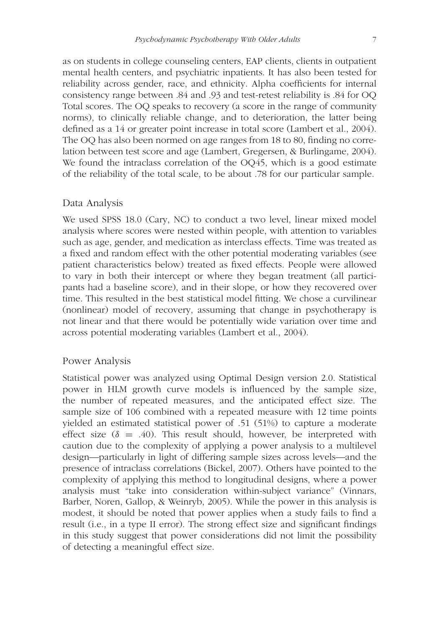as on students in college counseling centers, EAP clients, clients in outpatient mental health centers, and psychiatric inpatients. It has also been tested for reliability across gender, race, and ethnicity. Alpha coefficients for internal consistency range between .84 and .93 and test-retest reliability is .84 for OQ Total scores. The OQ speaks to recovery (a score in the range of community norms), to clinically reliable change, and to deterioration, the latter being defined as a 14 or greater point increase in total score (Lambert et al., 2004). The OQ has also been normed on age ranges from 18 to 80, finding no correlation between test score and age (Lambert, Gregersen, & Burlingame, 2004). We found the intraclass correlation of the OQ45, which is a good estimate of the reliability of the total scale, to be about .78 for our particular sample.

## Data Analysis

We used SPSS 18.0 (Cary, NC) to conduct a two level, linear mixed model analysis where scores were nested within people, with attention to variables such as age, gender, and medication as interclass effects. Time was treated as a fixed and random effect with the other potential moderating variables (see patient characteristics below) treated as fixed effects. People were allowed to vary in both their intercept or where they began treatment (all participants had a baseline score), and in their slope, or how they recovered over time. This resulted in the best statistical model fitting. We chose a curvilinear (nonlinear) model of recovery, assuming that change in psychotherapy is not linear and that there would be potentially wide variation over time and across potential moderating variables (Lambert et al., 2004).

## Power Analysis

Statistical power was analyzed using Optimal Design version 2.0. Statistical power in HLM growth curve models is influenced by the sample size, the number of repeated measures, and the anticipated effect size. The sample size of 106 combined with a repeated measure with 12 time points yielded an estimated statistical power of .51 (51%) to capture a moderate effect size ( $\delta = .40$ ). This result should, however, be interpreted with caution due to the complexity of applying a power analysis to a multilevel design—particularly in light of differing sample sizes across levels—and the presence of intraclass correlations (Bickel, 2007). Others have pointed to the complexity of applying this method to longitudinal designs, where a power analysis must "take into consideration within-subject variance" (Vinnars, Barber, Noren, Gallop, & Weinryb, 2005). While the power in this analysis is modest, it should be noted that power applies when a study fails to find a result (i.e., in a type II error). The strong effect size and significant findings in this study suggest that power considerations did not limit the possibility of detecting a meaningful effect size.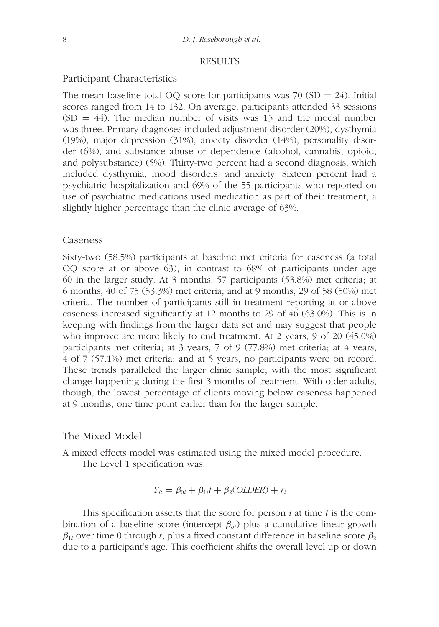#### **RESULTS**

#### Participant Characteristics

The mean baseline total OQ score for participants was  $70 \text{ (SD } = 24)$ . Initial scores ranged from 14 to 132. On average, participants attended 33 sessions  $(SD = 44)$ . The median number of visits was 15 and the modal number was three. Primary diagnoses included adjustment disorder (20%), dysthymia (19%), major depression (31%), anxiety disorder (14%), personality disorder (6%), and substance abuse or dependence (alcohol, cannabis, opioid, and polysubstance) (5%). Thirty-two percent had a second diagnosis, which included dysthymia, mood disorders, and anxiety. Sixteen percent had a psychiatric hospitalization and 69% of the 55 participants who reported on use of psychiatric medications used medication as part of their treatment, a slightly higher percentage than the clinic average of 63%.

#### Caseness

Sixty-two (58.5%) participants at baseline met criteria for caseness (a total OQ score at or above 63), in contrast to 68% of participants under age 60 in the larger study. At 3 months, 57 participants (53.8%) met criteria; at 6 months, 40 of 75 (53.3%) met criteria; and at 9 months, 29 of 58 (50%) met criteria. The number of participants still in treatment reporting at or above caseness increased significantly at 12 months to 29 of 46 (63.0%). This is in keeping with findings from the larger data set and may suggest that people who improve are more likely to end treatment. At 2 years, 9 of 20 (45.0%) participants met criteria; at 3 years, 7 of 9 (77.8%) met criteria; at 4 years, 4 of 7 (57.1%) met criteria; and at 5 years, no participants were on record. These trends paralleled the larger clinic sample, with the most significant change happening during the first 3 months of treatment. With older adults, though, the lowest percentage of clients moving below caseness happened at 9 months, one time point earlier than for the larger sample.

#### The Mixed Model

A mixed effects model was estimated using the mixed model procedure.

The Level 1 specification was:

$$
Y_{it} = \beta_{0i} + \beta_{1i}t + \beta_2(OLDER) + r_i
$$

This specification asserts that the score for person *i* at time *t* is the combination of a baseline score (intercept  $\beta_{oi}$ ) plus a cumulative linear growth  $\beta_{1i}$  over time 0 through *t*, plus a fixed constant difference in baseline score  $\beta_2$ due to a participant's age. This coefficient shifts the overall level up or down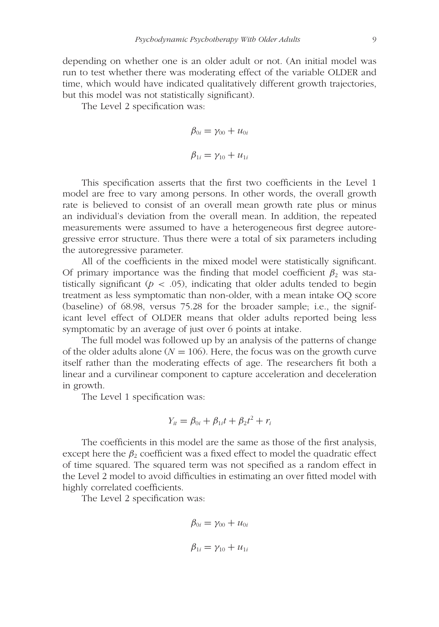depending on whether one is an older adult or not. (An initial model was run to test whether there was moderating effect of the variable OLDER and time, which would have indicated qualitatively different growth trajectories, but this model was not statistically significant).

The Level 2 specification was:

$$
\beta_{0i} = \gamma_{00} + u_{0i}
$$

$$
\beta_{1i} = \gamma_{10} + u_{1i}
$$

This specification asserts that the first two coefficients in the Level 1 model are free to vary among persons. In other words, the overall growth rate is believed to consist of an overall mean growth rate plus or minus an individual's deviation from the overall mean. In addition, the repeated measurements were assumed to have a heterogeneous first degree autoregressive error structure. Thus there were a total of six parameters including the autoregressive parameter.

All of the coefficients in the mixed model were statistically significant. Of primary importance was the finding that model coefficient  $\beta_2$  was statistically significant  $(p < .05)$ , indicating that older adults tended to begin treatment as less symptomatic than non-older, with a mean intake OQ score (baseline) of 68.98, versus 75.28 for the broader sample; i.e., the significant level effect of OLDER means that older adults reported being less symptomatic by an average of just over 6 points at intake.

The full model was followed up by an analysis of the patterns of change of the older adults alone ( $N = 106$ ). Here, the focus was on the growth curve itself rather than the moderating effects of age. The researchers fit both a linear and a curvilinear component to capture acceleration and deceleration in growth.

The Level 1 specification was:

$$
Y_{it} = \beta_{0i} + \beta_{1i}t + \beta_2t^2 + r_i
$$

The coefficients in this model are the same as those of the first analysis, except here the  $\beta_2$  coefficient was a fixed effect to model the quadratic effect of time squared. The squared term was not specified as a random effect in the Level 2 model to avoid difficulties in estimating an over fitted model with highly correlated coefficients.

The Level 2 specification was:

$$
\beta_{0i} = \gamma_{00} + u_{0i}
$$

$$
\beta_{1i} = \gamma_{10} + u_{1i}
$$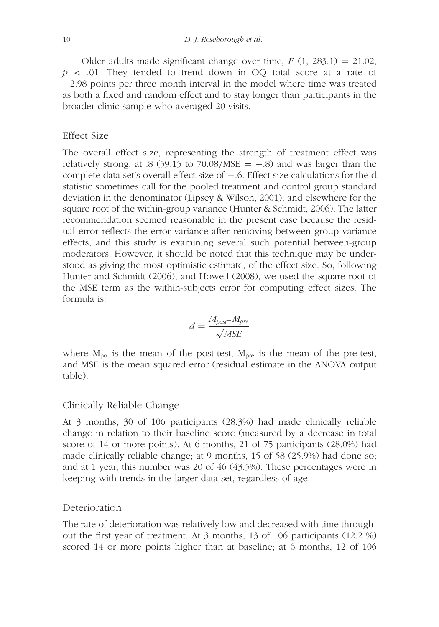Older adults made significant change over time,  $F(1, 283.1) = 21.02$ , *p* < .01. They tended to trend down in OQ total score at a rate of −2.98 points per three month interval in the model where time was treated as both a fixed and random effect and to stay longer than participants in the broader clinic sample who averaged 20 visits.

## Effect Size

The overall effect size, representing the strength of treatment effect was relatively strong, at .8 (59.15 to 70.08/MSE =  $-.8$ ) and was larger than the complete data set's overall effect size of −.6. Effect size calculations for the d statistic sometimes call for the pooled treatment and control group standard deviation in the denominator (Lipsey & Wilson, 2001), and elsewhere for the square root of the within-group variance (Hunter & Schmidt, 2006). The latter recommendation seemed reasonable in the present case because the residual error reflects the error variance after removing between group variance effects, and this study is examining several such potential between-group moderators. However, it should be noted that this technique may be understood as giving the most optimistic estimate, of the effect size. So, following Hunter and Schmidt (2006), and Howell (2008), we used the square root of the MSE term as the within-subjects error for computing effect sizes. The formula is:

$$
d = \frac{M_{post} - M_{pre}}{\sqrt{MSE}}
$$

where  $M_{\text{po}}$  is the mean of the post-test,  $M_{\text{pre}}$  is the mean of the pre-test, and MSE is the mean squared error (residual estimate in the ANOVA output table).

#### Clinically Reliable Change

At 3 months, 30 of 106 participants (28.3%) had made clinically reliable change in relation to their baseline score (measured by a decrease in total score of 14 or more points). At 6 months, 21 of 75 participants (28.0%) had made clinically reliable change; at 9 months, 15 of 58 (25.9%) had done so; and at 1 year, this number was 20 of 46 (43.5%). These percentages were in keeping with trends in the larger data set, regardless of age.

## **Deterioration**

The rate of deterioration was relatively low and decreased with time throughout the first year of treatment. At 3 months, 13 of 106 participants (12.2 %) scored 14 or more points higher than at baseline; at 6 months, 12 of 106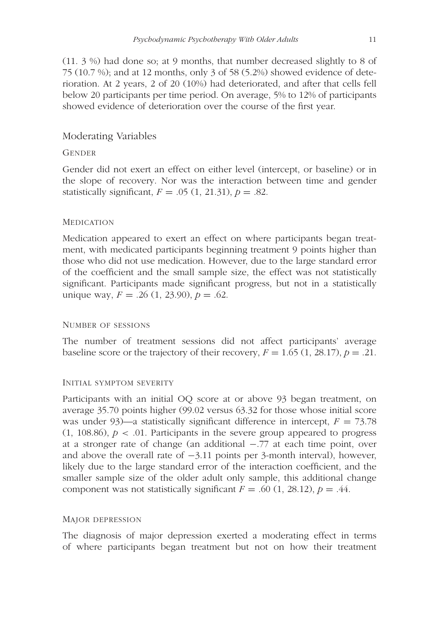(11. 3 %) had done so; at 9 months, that number decreased slightly to 8 of 75 (10.7 %); and at 12 months, only 3 of 58 (5.2%) showed evidence of deterioration. At 2 years, 2 of 20 (10%) had deteriorated, and after that cells fell below 20 participants per time period. On average, 5% to 12% of participants showed evidence of deterioration over the course of the first year.

## Moderating Variables

## **GENDER**

Gender did not exert an effect on either level (intercept, or baseline) or in the slope of recovery. Nor was the interaction between time and gender statistically significant,  $F = .05$  (1, 21.31),  $p = .82$ .

## MEDICATION

Medication appeared to exert an effect on where participants began treatment, with medicated participants beginning treatment 9 points higher than those who did not use medication. However, due to the large standard error of the coefficient and the small sample size, the effect was not statistically significant. Participants made significant progress, but not in a statistically unique way,  $F = .26$  (1, 23.90),  $p = .62$ .

#### NUMBER OF SESSIONS

The number of treatment sessions did not affect participants' average baseline score or the trajectory of their recovery,  $F = 1.65$  (1, 28.17),  $p = .21$ .

#### INITIAL SYMPTOM SEVERITY

Participants with an initial OQ score at or above 93 began treatment, on average 35.70 points higher (99.02 versus 63.32 for those whose initial score was under 93)—a statistically significant difference in intercept,  $F = 73.78$  $(1, 108.86)$ ,  $p < .01$ . Participants in the severe group appeared to progress at a stronger rate of change (an additional −.77 at each time point, over and above the overall rate of −3.11 points per 3-month interval), however, likely due to the large standard error of the interaction coefficient, and the smaller sample size of the older adult only sample, this additional change component was not statistically significant  $F = .60$  (1, 28.12),  $p = .44$ .

#### MAJOR DEPRESSION

The diagnosis of major depression exerted a moderating effect in terms of where participants began treatment but not on how their treatment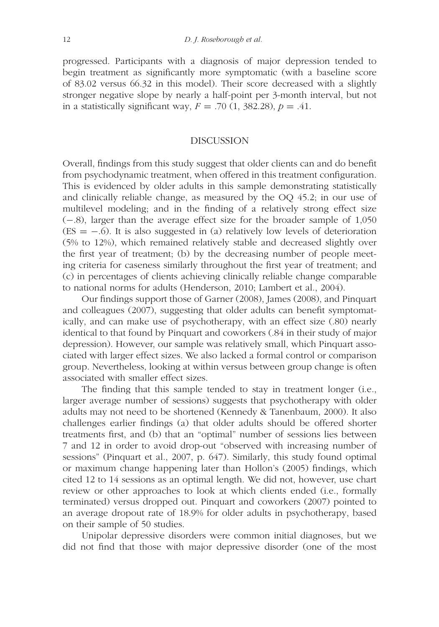progressed. Participants with a diagnosis of major depression tended to begin treatment as significantly more symptomatic (with a baseline score of 83.02 versus 66.32 in this model). Their score decreased with a slightly stronger negative slope by nearly a half-point per 3-month interval, but not in a statistically significant way,  $F = .70$  (1, 382.28),  $p = .41$ .

## DISCUSSION

Overall, findings from this study suggest that older clients can and do benefit from psychodynamic treatment, when offered in this treatment configuration. This is evidenced by older adults in this sample demonstrating statistically and clinically reliable change, as measured by the OQ 45.2; in our use of multilevel modeling; and in the finding of a relatively strong effect size (−.8), larger than the average effect size for the broader sample of 1,050  $(ES = -.6)$ . It is also suggested in (a) relatively low levels of deterioration (5% to 12%), which remained relatively stable and decreased slightly over the first year of treatment; (b) by the decreasing number of people meeting criteria for caseness similarly throughout the first year of treatment; and (c) in percentages of clients achieving clinically reliable change comparable to national norms for adults (Henderson, 2010; Lambert et al., 2004).

Our findings support those of Garner (2008), James (2008), and Pinquart and colleagues (2007), suggesting that older adults can benefit symptomatically, and can make use of psychotherapy, with an effect size (.80) nearly identical to that found by Pinquart and coworkers (.84 in their study of major depression). However, our sample was relatively small, which Pinquart associated with larger effect sizes. We also lacked a formal control or comparison group. Nevertheless, looking at within versus between group change is often associated with smaller effect sizes.

The finding that this sample tended to stay in treatment longer (i.e., larger average number of sessions) suggests that psychotherapy with older adults may not need to be shortened (Kennedy & Tanenbaum, 2000). It also challenges earlier findings (a) that older adults should be offered shorter treatments first, and (b) that an "optimal" number of sessions lies between 7 and 12 in order to avoid drop-out "observed with increasing number of sessions" (Pinquart et al., 2007, p. 647). Similarly, this study found optimal or maximum change happening later than Hollon's (2005) findings, which cited 12 to 14 sessions as an optimal length. We did not, however, use chart review or other approaches to look at which clients ended (i.e., formally terminated) versus dropped out. Pinquart and coworkers (2007) pointed to an average dropout rate of 18.9% for older adults in psychotherapy, based on their sample of 50 studies.

Unipolar depressive disorders were common initial diagnoses, but we did not find that those with major depressive disorder (one of the most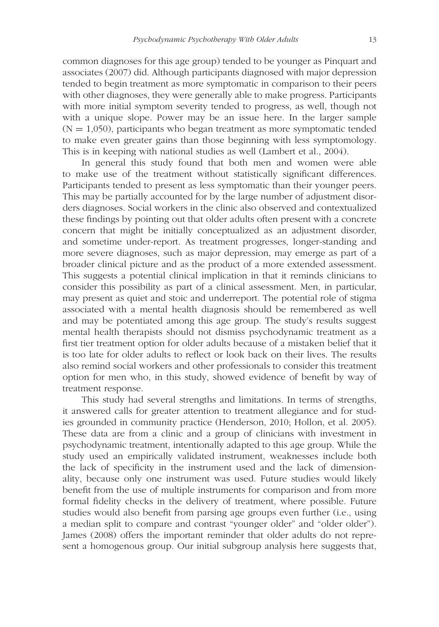common diagnoses for this age group) tended to be younger as Pinquart and associates (2007) did. Although participants diagnosed with major depression tended to begin treatment as more symptomatic in comparison to their peers with other diagnoses, they were generally able to make progress. Participants with more initial symptom severity tended to progress, as well, though not with a unique slope. Power may be an issue here. In the larger sample  $(N = 1,050)$ , participants who began treatment as more symptomatic tended to make even greater gains than those beginning with less symptomology. This is in keeping with national studies as well (Lambert et al., 2004).

In general this study found that both men and women were able to make use of the treatment without statistically significant differences. Participants tended to present as less symptomatic than their younger peers. This may be partially accounted for by the large number of adjustment disorders diagnoses. Social workers in the clinic also observed and contextualized these findings by pointing out that older adults often present with a concrete concern that might be initially conceptualized as an adjustment disorder, and sometime under-report. As treatment progresses, longer-standing and more severe diagnoses, such as major depression, may emerge as part of a broader clinical picture and as the product of a more extended assessment. This suggests a potential clinical implication in that it reminds clinicians to consider this possibility as part of a clinical assessment. Men, in particular, may present as quiet and stoic and underreport. The potential role of stigma associated with a mental health diagnosis should be remembered as well and may be potentiated among this age group. The study's results suggest mental health therapists should not dismiss psychodynamic treatment as a first tier treatment option for older adults because of a mistaken belief that it is too late for older adults to reflect or look back on their lives. The results also remind social workers and other professionals to consider this treatment option for men who, in this study, showed evidence of benefit by way of treatment response.

This study had several strengths and limitations. In terms of strengths, it answered calls for greater attention to treatment allegiance and for studies grounded in community practice (Henderson, 2010; Hollon, et al. 2005). These data are from a clinic and a group of clinicians with investment in psychodynamic treatment, intentionally adapted to this age group. While the study used an empirically validated instrument, weaknesses include both the lack of specificity in the instrument used and the lack of dimensionality, because only one instrument was used. Future studies would likely benefit from the use of multiple instruments for comparison and from more formal fidelity checks in the delivery of treatment, where possible. Future studies would also benefit from parsing age groups even further (i.e., using a median split to compare and contrast "younger older" and "older older"). James (2008) offers the important reminder that older adults do not represent a homogenous group. Our initial subgroup analysis here suggests that,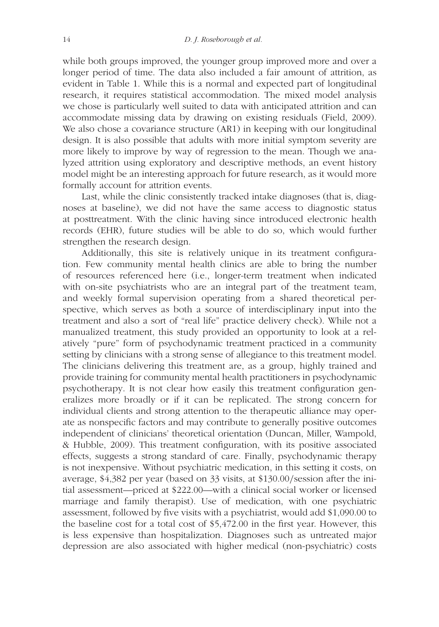while both groups improved, the younger group improved more and over a longer period of time. The data also included a fair amount of attrition, as evident in Table 1. While this is a normal and expected part of longitudinal research, it requires statistical accommodation. The mixed model analysis we chose is particularly well suited to data with anticipated attrition and can accommodate missing data by drawing on existing residuals (Field, 2009). We also chose a covariance structure (AR1) in keeping with our longitudinal design. It is also possible that adults with more initial symptom severity are more likely to improve by way of regression to the mean. Though we analyzed attrition using exploratory and descriptive methods, an event history model might be an interesting approach for future research, as it would more formally account for attrition events.

Last, while the clinic consistently tracked intake diagnoses (that is, diagnoses at baseline), we did not have the same access to diagnostic status at posttreatment. With the clinic having since introduced electronic health records (EHR), future studies will be able to do so, which would further strengthen the research design.

Additionally, this site is relatively unique in its treatment configuration. Few community mental health clinics are able to bring the number of resources referenced here (i.e., longer-term treatment when indicated with on-site psychiatrists who are an integral part of the treatment team, and weekly formal supervision operating from a shared theoretical perspective, which serves as both a source of interdisciplinary input into the treatment and also a sort of "real life" practice delivery check). While not a manualized treatment, this study provided an opportunity to look at a relatively "pure" form of psychodynamic treatment practiced in a community setting by clinicians with a strong sense of allegiance to this treatment model. The clinicians delivering this treatment are, as a group, highly trained and provide training for community mental health practitioners in psychodynamic psychotherapy. It is not clear how easily this treatment configuration generalizes more broadly or if it can be replicated. The strong concern for individual clients and strong attention to the therapeutic alliance may operate as nonspecific factors and may contribute to generally positive outcomes independent of clinicians' theoretical orientation (Duncan, Miller, Wampold, & Hubble, 2009). This treatment configuration, with its positive associated effects, suggests a strong standard of care. Finally, psychodynamic therapy is not inexpensive. Without psychiatric medication, in this setting it costs, on average, \$4,382 per year (based on 33 visits, at \$130.00/session after the initial assessment—priced at \$222.00—with a clinical social worker or licensed marriage and family therapist). Use of medication, with one psychiatric assessment, followed by five visits with a psychiatrist, would add \$1,090.00 to the baseline cost for a total cost of \$5,472.00 in the first year. However, this is less expensive than hospitalization. Diagnoses such as untreated major depression are also associated with higher medical (non-psychiatric) costs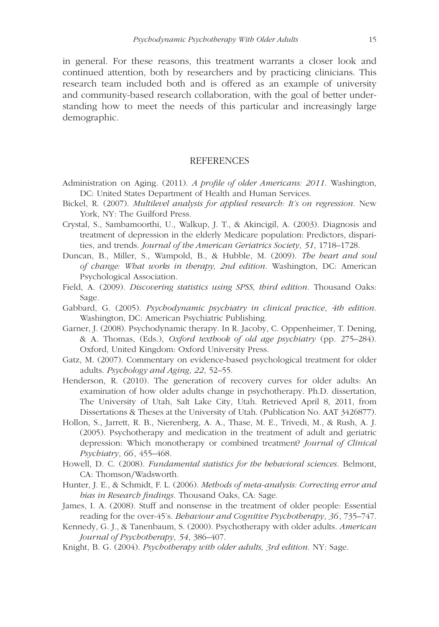in general. For these reasons, this treatment warrants a closer look and continued attention, both by researchers and by practicing clinicians. This research team included both and is offered as an example of university and community-based research collaboration, with the goal of better understanding how to meet the needs of this particular and increasingly large demographic.

#### REFERENCES

- Administration on Aging. (2011). *A profile of older Americans: 2011*. Washington, DC: United States Department of Health and Human Services.
- Bickel, R. (2007). *Multilevel analysis for applied research: It's on regression*. New York, NY: The Guilford Press.
- Crystal, S., Sambamoorthi, U., Walkup, J. T., & Akincigil, A. (2003). Diagnosis and treatment of depression in the elderly Medicare population: Predictors, disparities, and trends. *Journal of the American Geriatrics Society*, *51*, 1718–1728.
- Duncan, B., Miller, S., Wampold, B., & Hubble, M. (2009). *The heart and soul of change: What works in therapy, 2nd edition*. Washington, DC: American Psychological Association.
- Field, A. (2009). *Discovering statistics using SPSS, third edition*. Thousand Oaks: Sage.
- Gabbard, G. (2005). *Psychodynamic psychiatry in clinical practice*, *4th edition*. Washington, DC: American Psychiatric Publishing.
- Garner, J. (2008). Psychodynamic therapy. In R. Jacoby, C. Oppenheimer, T. Dening, & A. Thomas, (Eds.), *Oxford textbook of old age psychiatry* (pp. 275–284). Oxford, United Kingdom: Oxford University Press.
- Gatz, M. (2007). Commentary on evidence-based psychological treatment for older adults. *Psychology and Aging*, *22*, 52–55.
- Henderson, R. (2010). The generation of recovery curves for older adults: An examination of how older adults change in psychotherapy. Ph.D. dissertation, The University of Utah, Salt Lake City, Utah. Retrieved April 8, 2011, from Dissertations & Theses at the University of Utah. (Publication No. AAT 3426877).
- Hollon, S., Jarrett, R. B., Nierenberg, A. A., Thase, M. E., Trivedi, M., & Rush, A. J. (2005). Psychotherapy and medication in the treatment of adult and geriatric depression: Which monotherapy or combined treatment? *Journal of Clinical Psychiatry*, *66*, 455–468.
- Howell, D. C. (2008). *Fundamental statistics for the behavioral sciences*. Belmont, CA: Thomson/Wadsworth.
- Hunter, J. E., & Schmidt, F. L. (2006). *Methods of meta-analysis: Correcting error and bias in Research findings*. Thousand Oaks, CA: Sage.
- James, I. A. (2008). Stuff and nonsense in the treatment of older people: Essential reading for the over-45's. *Behaviour and Cognitive Psychotherapy*, *36*, 735–747.
- Kennedy, G. J., & Tanenbaum, S. (2000). Psychotherapy with older adults. *American Journal of Psychotherapy*, *54*, 386–407.
- Knight, B. G. (2004). *Psychotherapy with older adults, 3rd edition*. NY: Sage.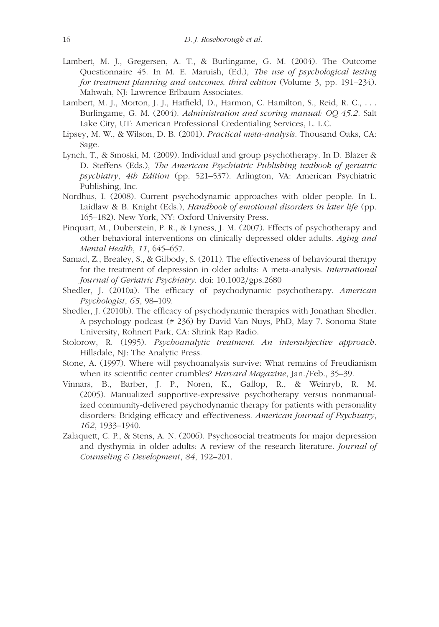- Lambert, M. J., Gregersen, A. T., & Burlingame, G. M. (2004). The Outcome Questionnaire 45. In M. E. Maruish, (Ed.), *The use of psychological testing for treatment planning and outcomes, third edition* (Volume 3, pp. 191–234). Mahwah, NJ: Lawrence Erlbaum Associates.
- Lambert, M. J., Morton, J. J., Hatfield, D., Harmon, C. Hamilton, S., Reid, R. C., ... Burlingame, G. M. (2004). *Administration and scoring manual: OQ 45.2*. Salt Lake City, UT: American Professional Credentialing Services, L. L.C.
- Lipsey, M. W., & Wilson, D. B. (2001). *Practical meta-analysis*. Thousand Oaks, CA: Sage.
- Lynch, T., & Smoski, M. (2009). Individual and group psychotherapy. In D. Blazer & D. Steffens (Eds.), *The American Psychiatric Publishing textbook of geriatric psychiatry*, *4th Edition* (pp. 521–537). Arlington, VA: American Psychiatric Publishing, Inc.
- Nordhus, I. (2008). Current psychodynamic approaches with older people. In L. Laidlaw & B. Knight (Eds.), *Handbook of emotional disorders in later life* (pp. 165–182). New York, NY: Oxford University Press.
- Pinquart, M., Duberstein, P. R., & Lyness, J. M. (2007). Effects of psychotherapy and other behavioral interventions on clinically depressed older adults. *Aging and Mental Health*, *11*, 645–657.
- Samad, Z., Brealey, S., & Gilbody, S. (2011). The effectiveness of behavioural therapy for the treatment of depression in older adults: A meta-analysis. *International Journal of Geriatric Psychiatry*. doi: 10.1002/gps.2680
- Shedler, J. (2010a). The efficacy of psychodynamic psychotherapy. *American Psychologist*, *65*, 98–109.
- Shedler, J. (2010b). The efficacy of psychodynamic therapies with Jonathan Shedler. A psychology podcast (# 236) by David Van Nuys, PhD, May 7. Sonoma State University, Rohnert Park, CA: Shrink Rap Radio.
- Stolorow, R. (1995). *Psychoanalytic treatment: An intersubjective approach*. Hillsdale, NJ: The Analytic Press.
- Stone, A. (1997). Where will psychoanalysis survive: What remains of Freudianism when its scientific center crumbles? *Harvard Magazine*, Jan./Feb., 35–39.
- Vinnars, B., Barber, J. P., Noren, K., Gallop, R., & Weinryb, R. M. (2005). Manualized supportive-expressive psychotherapy versus nonmanualized community-delivered psychodynamic therapy for patients with personality disorders: Bridging efficacy and effectiveness. *American Journal of Psychiatry*, *162*, 1933–1940.
- Zalaquett, C. P., & Stens, A. N. (2006). Psychosocial treatments for major depression and dysthymia in older adults: A review of the research literature. *Journal of Counseling & Development*, *84*, 192–201.